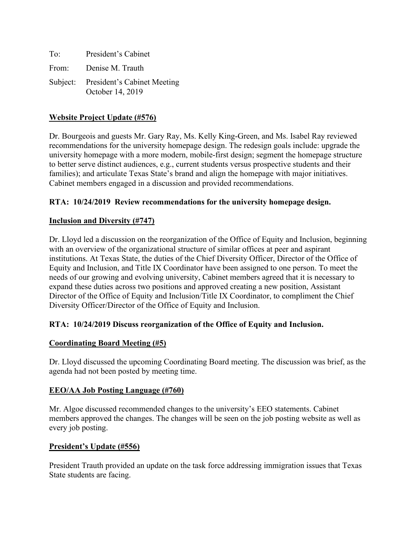| To: | President's Cabinet                                      |
|-----|----------------------------------------------------------|
|     | From: Denise M. Trauth                                   |
|     | Subject: President's Cabinet Meeting<br>October 14, 2019 |

# **Website Project Update (#576)**

Dr. Bourgeois and guests Mr. Gary Ray, Ms. Kelly King-Green, and Ms. Isabel Ray reviewed recommendations for the university homepage design. The redesign goals include: upgrade the university homepage with a more modern, mobile-first design; segment the homepage structure to better serve distinct audiences, e.g., current students versus prospective students and their families); and articulate Texas State's brand and align the homepage with major initiatives. Cabinet members engaged in a discussion and provided recommendations.

## **RTA: 10/24/2019 Review recommendations for the university homepage design.**

## **Inclusion and Diversity (#747)**

Dr. Lloyd led a discussion on the reorganization of the Office of Equity and Inclusion, beginning with an overview of the organizational structure of similar offices at peer and aspirant institutions. At Texas State, the duties of the Chief Diversity Officer, Director of the Office of Equity and Inclusion, and Title IX Coordinator have been assigned to one person. To meet the needs of our growing and evolving university, Cabinet members agreed that it is necessary to expand these duties across two positions and approved creating a new position, Assistant Director of the Office of Equity and Inclusion/Title IX Coordinator, to compliment the Chief Diversity Officer/Director of the Office of Equity and Inclusion.

## **RTA: 10/24/2019 Discuss reorganization of the Office of Equity and Inclusion.**

## **Coordinating Board Meeting (#5)**

Dr. Lloyd discussed the upcoming Coordinating Board meeting. The discussion was brief, as the agenda had not been posted by meeting time.

## **EEO/AA Job Posting Language (#760)**

Mr. Algoe discussed recommended changes to the university's EEO statements. Cabinet members approved the changes. The changes will be seen on the job posting website as well as every job posting.

## **President's Update (#556)**

President Trauth provided an update on the task force addressing immigration issues that Texas State students are facing.